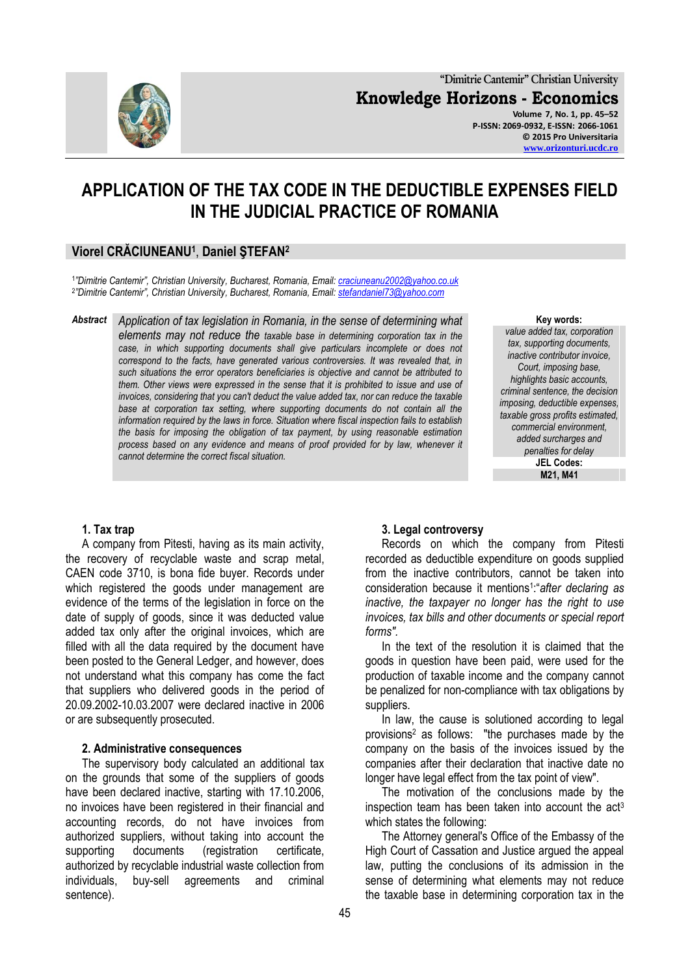

# **APPLICATION OF THE TAX CODE IN THE DEDUCTIBLE EXPENSES FIELD IN THE JUDICIAL PRACTICE OF ROMANIA**

## **Viorel CRĂCIUNEANU<sup>1</sup>** , **Daniel ŞTEFAN<sup>2</sup>**

1 *"Dimitrie Cantemir", Christian University, Bucharest, Romania, Email: [craciuneanu2002@yahoo.co.uk](mailto:craciuneanu2002@yahoo.co.uk)* 2 *"Dimitrie Cantemir", Christian University, Bucharest, Romania, Email: [stefandaniel73@yahoo.com](mailto:stefandaniel73@yahoo.com)*

*Abstract Application of tax legislation in Romania, in the sense of determining what elements may not reduce the taxable base in determining corporation tax in the case, in which supporting documents shall give particulars incomplete or does not correspond to the facts, have generated various controversies. It was revealed that, in such situations the error operators beneficiaries is objective and cannot be attributed to them. Other views were expressed in the sense that it is prohibited to issue and use of invoices, considering that you can't deduct the value added tax, nor can reduce the taxable base at corporation tax setting, where supporting documents do not contain all the information required by the laws in force. Situation where fiscal inspection fails to establish the basis for imposing the obligation of tax payment, by using reasonable estimation process based on any evidence and means of proof provided for by law, whenever it cannot determine the correct fiscal situation.*

**Key words:**

*value added tax, corporation tax, supporting documents, inactive contributor invoice, Court, imposing base, highlights basic accounts, criminal sentence, the decision imposing, deductible expenses, taxable gross profits estimated, commercial environment, added surcharges and penalties for delay* **JEL Codes: M21, M41**

### **1. Tax trap**

A company from Pitesti, having as its main activity, the recovery of recyclable waste and scrap metal, CAEN code 3710, is bona fide buyer. Records under which registered the goods under management are evidence of the terms of the legislation in force on the date of supply of goods, since it was deducted value added tax only after the original invoices, which are filled with all the data required by the document have been posted to the General Ledger, and however, does not understand what this company has come the fact that suppliers who delivered goods in the period of 20.09.2002-10.03.2007 were declared inactive in 2006 or are subsequently prosecuted.

#### **2. Administrative consequences**

The supervisory body calculated an additional tax on the grounds that some of the suppliers of goods have been declared inactive, starting with 17.10.2006, no invoices have been registered in their financial and accounting records, do not have invoices from authorized suppliers, without taking into account the supporting documents (registration certificate, authorized by recyclable industrial waste collection from individuals, buy-sell agreements and criminal sentence).

# **3. Legal controversy**

Records on which the company from Pitesti recorded as deductible expenditure on goods supplied from the inactive contributors, cannot be taken into consideration because it mentions<sup>1</sup> :"*after declaring as inactive, the taxpayer no longer has the right to use invoices, tax bills and other documents or special report forms".* 

In the text of the resolution it is claimed that the goods in question have been paid, were used for the production of taxable income and the company cannot be penalized for non-compliance with tax obligations by suppliers.

In law, the cause is solutioned according to legal provisions<sup>2</sup> as follows: "the purchases made by the company on the basis of the invoices issued by the companies after their declaration that inactive date no longer have legal effect from the tax point of view".

The motivation of the conclusions made by the inspection team has been taken into account the  $act<sup>3</sup>$ which states the following:

The Attorney general's Office of the Embassy of the High Court of Cassation and Justice argued the appeal law, putting the conclusions of its admission in the sense of determining what elements may not reduce the taxable base in determining corporation tax in the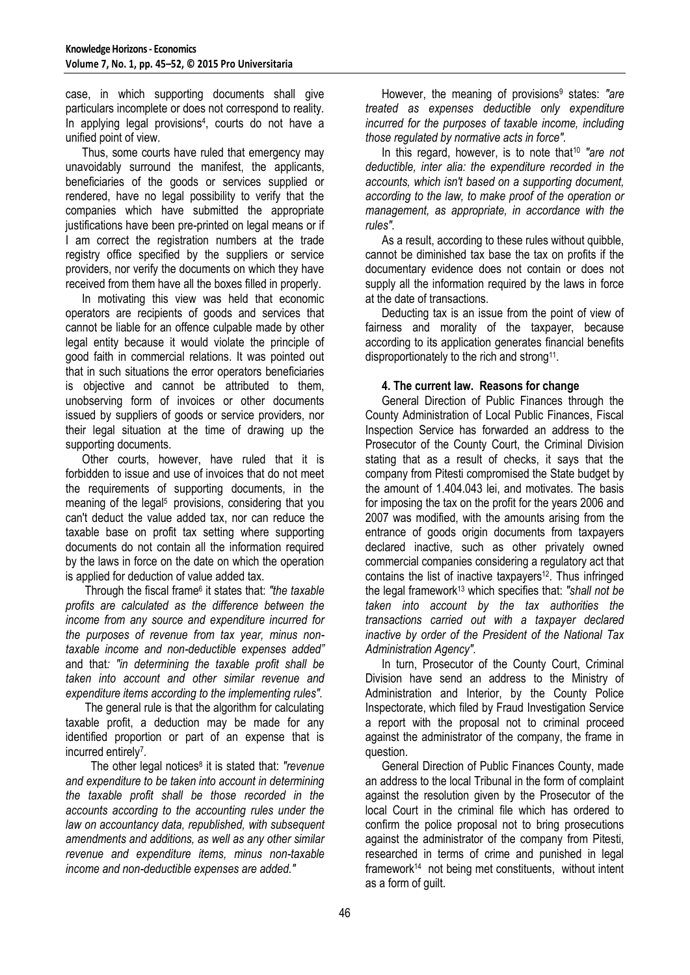case, in which supporting documents shall give particulars incomplete or does not correspond to reality. In applying legal provisions<sup>4</sup>, courts do not have a unified point of view.

Thus, some courts have ruled that emergency may unavoidably surround the manifest, the applicants, beneficiaries of the goods or services supplied or rendered, have no legal possibility to verify that the companies which have submitted the appropriate justifications have been pre-printed on legal means or if I am correct the registration numbers at the trade registry office specified by the suppliers or service providers, nor verify the documents on which they have received from them have all the boxes filled in properly.

In motivating this view was held that economic operators are recipients of goods and services that cannot be liable for an offence culpable made by other legal entity because it would violate the principle of good faith in commercial relations. It was pointed out that in such situations the error operators beneficiaries is objective and cannot be attributed to them, unobserving form of invoices or other documents issued by suppliers of goods or service providers, nor their legal situation at the time of drawing up the supporting documents.

Other courts, however, have ruled that it is forbidden to issue and use of invoices that do not meet the requirements of supporting documents, in the meaning of the legal<sup>5</sup> provisions, considering that you can't deduct the value added tax, nor can reduce the taxable base on profit tax setting where supporting documents do not contain all the information required by the laws in force on the date on which the operation is applied for deduction of value added tax.

Through the fiscal frame<sup>6</sup> it states that: *"the taxable profits are calculated as the difference between the income from any source and expenditure incurred for the purposes of revenue from tax year, minus nontaxable income and non-deductible expenses added"*  and that*: "in determining the taxable profit shall be taken into account and other similar revenue and expenditure items according to the implementing rules".*

The general rule is that the algorithm for calculating taxable profit, a deduction may be made for any identified proportion or part of an expense that is incurred entirely<sup>7</sup>.

The other legal notices<sup>8</sup> it is stated that: "revenue *and expenditure to be taken into account in determining the taxable profit shall be those recorded in the accounts according to the accounting rules under the law on accountancy data, republished, with subsequent amendments and additions, as well as any other similar revenue and expenditure items, minus non-taxable income and non-deductible expenses are added."*

However, the meaning of provisions<sup>9</sup> states: "are *treated as expenses deductible only expenditure incurred for the purposes of taxable income, including those regulated by normative acts in force".*

In this regard, however, is to note that<sup>10</sup> "are not *deductible, inter alia: the expenditure recorded in the accounts, which isn't based on a supporting document, according to the law, to make proof of the operation or management, as appropriate, in accordance with the rules".*

As a result, according to these rules without quibble, cannot be diminished tax base the tax on profits if the documentary evidence does not contain or does not supply all the information required by the laws in force at the date of transactions.

Deducting tax is an issue from the point of view of fairness and morality of the taxpayer, because according to its application generates financial benefits disproportionately to the rich and strong<sup>11</sup>.

### **4. The current law. Reasons for change**

General Direction of Public Finances through the County Administration of Local Public Finances, Fiscal Inspection Service has forwarded an address to the Prosecutor of the County Court, the Criminal Division stating that as a result of checks, it says that the company from Pitesti compromised the State budget by the amount of 1.404.043 lei, and motivates. The basis for imposing the tax on the profit for the years 2006 and 2007 was modified, with the amounts arising from the entrance of goods origin documents from taxpayers declared inactive, such as other privately owned commercial companies considering a regulatory act that contains the list of inactive taxpayers<sup>12</sup>. Thus infringed the legal framework<sup>13</sup> which specifies that: *"shall not be taken into account by the tax authorities the transactions carried out with a taxpayer declared inactive by order of the President of the National Tax Administration Agency".* 

In turn, Prosecutor of the County Court, Criminal Division have send an address to the Ministry of Administration and Interior, by the County Police Inspectorate, which filed by Fraud Investigation Service a report with the proposal not to criminal proceed against the administrator of the company, the frame in question.

General Direction of Public Finances County, made an address to the local Tribunal in the form of complaint against the resolution given by the Prosecutor of the local Court in the criminal file which has ordered to confirm the police proposal not to bring prosecutions against the administrator of the company from Pitesti, researched in terms of crime and punished in legal framework<sup>14</sup> not being met constituents, without intent as a form of guilt.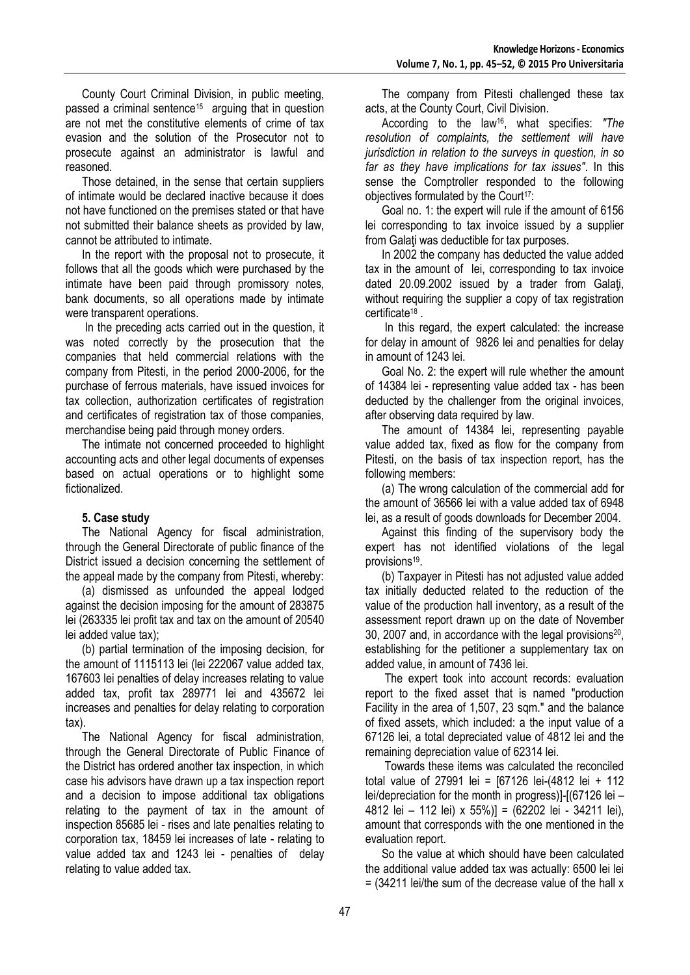County Court Criminal Division, in public meeting, passed a criminal sentence<sup>15</sup> arguing that in question are not met the constitutive elements of crime of tax evasion and the solution of the Prosecutor not to prosecute against an administrator is lawful and reasoned.

Those detained, in the sense that certain suppliers of intimate would be declared inactive because it does not have functioned on the premises stated or that have not submitted their balance sheets as provided by law, cannot be attributed to intimate.

In the report with the proposal not to prosecute, it follows that all the goods which were purchased by the intimate have been paid through promissory notes, bank documents, so all operations made by intimate were transparent operations.

In the preceding acts carried out in the question, it was noted correctly by the prosecution that the companies that held commercial relations with the company from Pitesti, in the period 2000-2006, for the purchase of ferrous materials, have issued invoices for tax collection, authorization certificates of registration and certificates of registration tax of those companies, merchandise being paid through money orders.

The intimate not concerned proceeded to highlight accounting acts and other legal documents of expenses based on actual operations or to highlight some fictionalized.

### **5. Case study**

The National Agency for fiscal administration, through the General Directorate of public finance of the District issued a decision concerning the settlement of the appeal made by the company from Pitesti, whereby:

(a) dismissed as unfounded the appeal lodged against the decision imposing for the amount of 283875 lei (263335 lei profit tax and tax on the amount of 20540 lei added value tax);

(b) partial termination of the imposing decision, for the amount of 1115113 lei (lei 222067 value added tax, 167603 lei penalties of delay increases relating to value added tax, profit tax 289771 lei and 435672 lei increases and penalties for delay relating to corporation tax).

The National Agency for fiscal administration, through the General Directorate of Public Finance of the District has ordered another tax inspection, in which case his advisors have drawn up a tax inspection report and a decision to impose additional tax obligations relating to the payment of tax in the amount of inspection 85685 lei - rises and late penalties relating to corporation tax, 18459 lei increases of late - relating to value added tax and 1243 lei - penalties of delay relating to value added tax.

The company from Pitesti challenged these tax acts, at the County Court, Civil Division.

According to the law16, what specifies: *"The resolution of complaints, the settlement will have jurisdiction in relation to the surveys in question, in so far as they have implications for tax issues"*. In this sense the Comptroller responded to the following objectives formulated by the Court<sup>17</sup>:

Goal no. 1: the expert will rule if the amount of 6156 lei corresponding to tax invoice issued by a supplier from Galati was deductible for tax purposes.

In 2002 the company has deducted the value added tax in the amount of lei, corresponding to tax invoice dated 20.09.2002 issued by a trader from Galaţi, without requiring the supplier a copy of tax registration certificate<sup>18</sup> .

In this regard, the expert calculated: the increase for delay in amount of 9826 lei and penalties for delay in amount of 1243 lei.

Goal No. 2: the expert will rule whether the amount of 14384 lei - representing value added tax - has been deducted by the challenger from the original invoices, after observing data required by law.

The amount of 14384 lei, representing payable value added tax, fixed as flow for the company from Pitesti, on the basis of tax inspection report, has the following members:

(a) The wrong calculation of the commercial add for the amount of 36566 lei with a value added tax of 6948 lei, as a result of goods downloads for December 2004.

Against this finding of the supervisory body the expert has not identified violations of the legal provisions<sup>19</sup>.

(b) Taxpayer in Pitesti has not adjusted value added tax initially deducted related to the reduction of the value of the production hall inventory, as a result of the assessment report drawn up on the date of November 30, 2007 and, in accordance with the legal provisions<sup>20</sup>, establishing for the petitioner a supplementary tax on added value, in amount of 7436 lei.

The expert took into account records: evaluation report to the fixed asset that is named "production Facility in the area of 1,507, 23 sqm." and the balance of fixed assets, which included: a the input value of a 67126 lei, a total depreciated value of 4812 lei and the remaining depreciation value of 62314 lei.

Towards these items was calculated the reconciled total value of 27991 lei = [67126 lei-(4812 lei + 112 lei/depreciation for the month in progress)]-[(67126 lei – 4812 lei – 112 lei) x 55%)] = (62202 lei - 34211 lei), amount that corresponds with the one mentioned in the evaluation report.

So the value at which should have been calculated the additional value added tax was actually: 6500 lei lei  $=$  (34211 lei/the sum of the decrease value of the hall x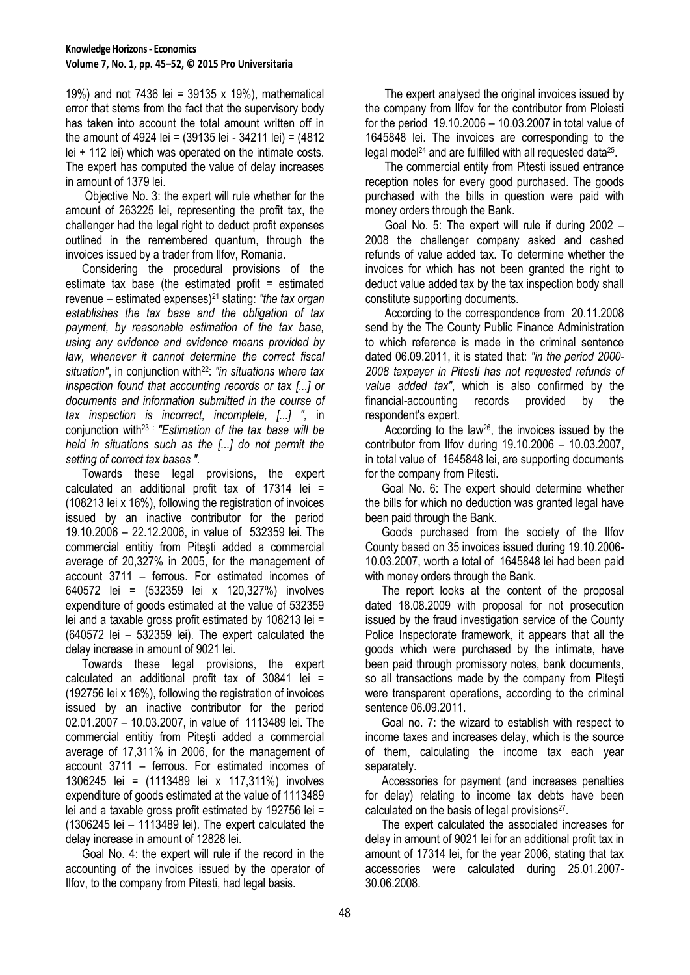19%) and not 7436 lei = 39135 x 19%), mathematical error that stems from the fact that the supervisory body has taken into account the total amount written off in the amount of 4924 lei = (39135 lei - 34211 lei) = (4812 lei + 112 lei) which was operated on the intimate costs. The expert has computed the value of delay increases in amount of 1379 lei.

Objective No. 3: the expert will rule whether for the amount of 263225 lei, representing the profit tax, the challenger had the legal right to deduct profit expenses outlined in the remembered quantum, through the invoices issued by a trader from Ilfov, Romania.

Considering the procedural provisions of the estimate tax base (the estimated profit = estimated revenue – estimated expenses)<sup>21</sup> stating: *"the tax organ establishes the tax base and the obligation of tax payment, by reasonable estimation of the tax base, using any evidence and evidence means provided by law, whenever it cannot determine the correct fiscal*  situation", in conjunction with<sup>22</sup>: "in situations where tax *inspection found that accounting records or tax [...] or documents and information submitted in the course of tax inspection is incorrect, incomplete, [...] ",* in conjunction with<sup>23</sup> : *"Estimation of the tax base will be held in situations such as the [...] do not permit the setting of correct tax bases ".*

Towards these legal provisions, the expert calculated an additional profit tax of 17314 lei = (108213 lei x 16%), following the registration of invoices issued by an inactive contributor for the period 19.10.2006 – 22.12.2006, in value of 532359 lei. The commercial entitiy from Piteşti added a commercial average of 20,327% in 2005, for the management of account 3711 – ferrous. For estimated incomes of 640572 lei = (532359 lei x 120,327%) involves expenditure of goods estimated at the value of 532359 lei and a taxable gross profit estimated by 108213 lei = (640572 lei – 532359 lei). The expert calculated the delay increase in amount of 9021 lei.

Towards these legal provisions, the expert calculated an additional profit tax of 30841 lei = (192756 lei x 16%), following the registration of invoices issued by an inactive contributor for the period 02.01.2007 – 10.03.2007, in value of 1113489 lei. The commercial entitiy from Piteşti added a commercial average of 17,311% in 2006, for the management of account 3711 – ferrous. For estimated incomes of 1306245 lei = (1113489 lei x 117,311%) involves expenditure of goods estimated at the value of 1113489 lei and a taxable gross profit estimated by 192756 lei = (1306245 lei – 1113489 lei). The expert calculated the delay increase in amount of 12828 lei.

Goal No. 4: the expert will rule if the record in the accounting of the invoices issued by the operator of Ilfov, to the company from Pitesti, had legal basis.

The expert analysed the original invoices issued by the company from Ilfov for the contributor from Ploiesti for the period 19.10.2006 – 10.03.2007 in total value of 1645848 lei. The invoices are corresponding to the legal model<sup>24</sup> and are fulfilled with all requested data<sup>25</sup>.

The commercial entity from Pitesti issued entrance reception notes for every good purchased. The goods purchased with the bills in question were paid with money orders through the Bank.

Goal No. 5: The expert will rule if during 2002 – 2008 the challenger company asked and cashed refunds of value added tax. To determine whether the invoices for which has not been granted the right to deduct value added tax by the tax inspection body shall constitute supporting documents.

According to the correspondence from 20.11.2008 send by the The County Public Finance Administration to which reference is made in the criminal sentence dated 06.09.2011, it is stated that: *"in the period 2000- 2008 taxpayer in Pitesti has not requested refunds of value added tax"*, which is also confirmed by the financial-accounting records provided by the respondent's expert.

According to the law26, the invoices issued by the contributor from Ilfov during 19.10.2006 – 10.03.2007, in total value of 1645848 lei, are supporting documents for the company from Pitesti.

Goal No. 6: The expert should determine whether the bills for which no deduction was granted legal have been paid through the Bank.

Goods purchased from the society of the Ilfov County based on 35 invoices issued during 19.10.2006- 10.03.2007, worth a total of 1645848 lei had been paid with money orders through the Bank.

The report looks at the content of the proposal dated 18.08.2009 with proposal for not prosecution issued by the fraud investigation service of the County Police Inspectorate framework, it appears that all the goods which were purchased by the intimate, have been paid through promissory notes, bank documents, so all transactions made by the company from Piteşti were transparent operations, according to the criminal sentence 06.09.2011.

Goal no. 7: the wizard to establish with respect to income taxes and increases delay, which is the source of them, calculating the income tax each year separately.

Accessories for payment (and increases penalties for delay) relating to income tax debts have been calculated on the basis of legal provisions<sup>27</sup>.

The expert calculated the associated increases for delay in amount of 9021 lei for an additional profit tax in amount of 17314 lei, for the year 2006, stating that tax accessories were calculated during 25.01.2007- 30.06.2008.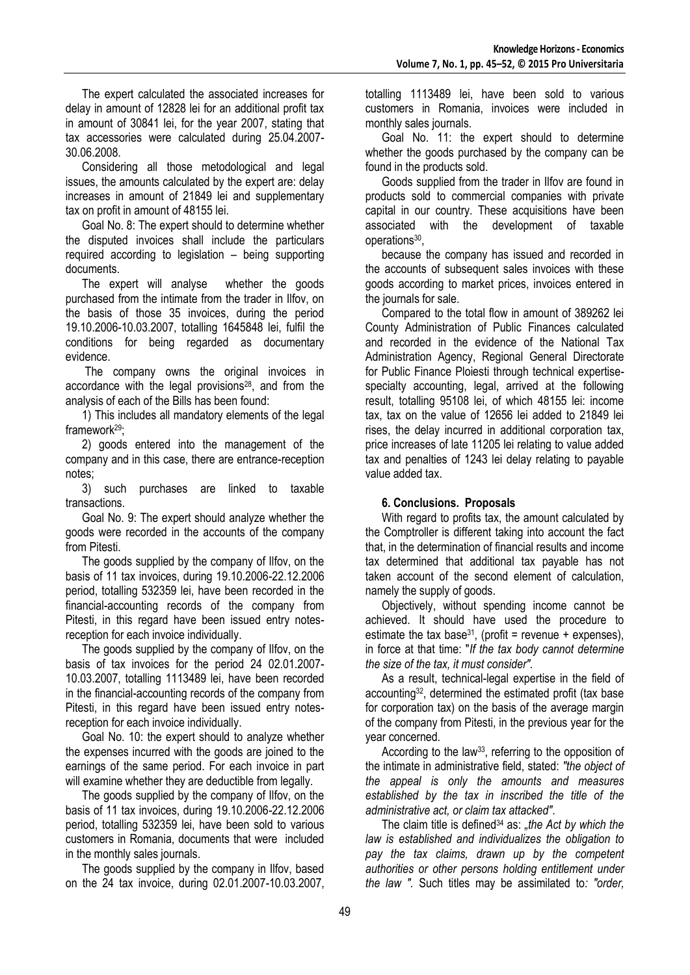The expert calculated the associated increases for delay in amount of 12828 lei for an additional profit tax in amount of 30841 lei, for the year 2007, stating that tax accessories were calculated during 25.04.2007- 30.06.2008.

Considering all those metodological and legal issues, the amounts calculated by the expert are: delay increases in amount of 21849 lei and supplementary tax on profit in amount of 48155 lei.

Goal No. 8: The expert should to determine whether the disputed invoices shall include the particulars required according to legislation – being supporting documents.

The expert will analyse whether the goods purchased from the intimate from the trader in Ilfov, on the basis of those 35 invoices, during the period 19.10.2006-10.03.2007, totalling 1645848 lei, fulfil the conditions for being regarded as documentary evidence.

The company owns the original invoices in accordance with the legal provisions $28$ , and from the analysis of each of the Bills has been found:

1) This includes all mandatory elements of the legal framework29;

2) goods entered into the management of the company and in this case, there are entrance-reception notes;

3) such purchases are linked to taxable transactions.

Goal No. 9: The expert should analyze whether the goods were recorded in the accounts of the company from Pitesti.

The goods supplied by the company of Ilfov, on the basis of 11 tax invoices, during 19.10.2006-22.12.2006 period, totalling 532359 lei, have been recorded in the financial-accounting records of the company from Pitesti, in this regard have been issued entry notesreception for each invoice individually.

The goods supplied by the company of Ilfov, on the basis of tax invoices for the period 24 02.01.2007- 10.03.2007, totalling 1113489 lei, have been recorded in the financial-accounting records of the company from Pitesti, in this regard have been issued entry notesreception for each invoice individually.

Goal No. 10: the expert should to analyze whether the expenses incurred with the goods are joined to the earnings of the same period. For each invoice in part will examine whether they are deductible from legally.

The goods supplied by the company of Ilfov, on the basis of 11 tax invoices, during 19.10.2006-22.12.2006 period, totalling 532359 lei, have been sold to various customers in Romania, documents that were included in the monthly sales journals.

The goods supplied by the company in Ilfov, based on the 24 tax invoice, during 02.01.2007-10.03.2007, totalling 1113489 lei, have been sold to various customers in Romania, invoices were included in monthly sales journals.

Goal No. 11: the expert should to determine whether the goods purchased by the company can be found in the products sold.

Goods supplied from the trader in Ilfov are found in products sold to commercial companies with private capital in our country. These acquisitions have been associated with the development of taxable operations<sup>30</sup>,

because the company has issued and recorded in the accounts of subsequent sales invoices with these goods according to market prices, invoices entered in the journals for sale.

Compared to the total flow in amount of 389262 lei County Administration of Public Finances calculated and recorded in the evidence of the National Tax Administration Agency, Regional General Directorate for Public Finance Ploiesti through technical expertisespecialty accounting, legal, arrived at the following result, totalling 95108 lei, of which 48155 lei: income tax, tax on the value of 12656 lei added to 21849 lei rises, the delay incurred in additional corporation tax, price increases of late 11205 lei relating to value added tax and penalties of 1243 lei delay relating to payable value added tax.

### **6. Conclusions. Proposals**

With regard to profits tax, the amount calculated by the Comptroller is different taking into account the fact that, in the determination of financial results and income tax determined that additional tax payable has not taken account of the second element of calculation, namely the supply of goods.

Objectively, without spending income cannot be achieved. It should have used the procedure to estimate the tax base<sup>31</sup>, (profit = revenue + expenses), in force at that time: "*If the tax body cannot determine the size of the tax, it must consider".*

As a result, technical-legal expertise in the field of accounting32, determined the estimated profit (tax base for corporation tax) on the basis of the average margin of the company from Pitesti, in the previous year for the year concerned.

According to the law<sup>33</sup>, referring to the opposition of the intimate in administrative field, stated: *"the object of the appeal is only the amounts and measures established by the tax in inscribed the title of the administrative act, or claim tax attacked"*.

The claim title is defined<sup>34</sup> as: "the Act by which the *law is established and individualizes the obligation to pay the tax claims, drawn up by the competent authorities or other persons holding entitlement under the law ".* Such titles may be assimilated to*: "order,*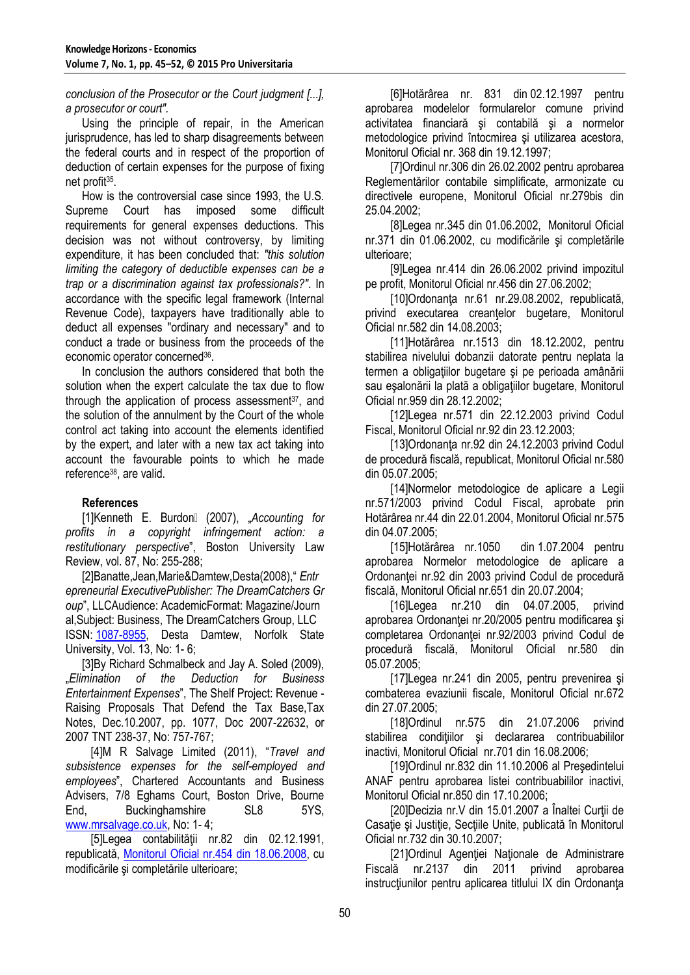*conclusion of the Prosecutor or the Court judgment [...], a prosecutor or court".*

Using the principle of repair, in the American jurisprudence, has led to sharp disagreements between the federal courts and in respect of the proportion of deduction of certain expenses for the purpose of fixing net profit<sup>35</sup>.

How is the controversial case since 1993, the U.S. Supreme Court has imposed some difficult requirements for general expenses deductions. This decision was not without controversy, by limiting expenditure, it has been concluded that: *"this solution limiting the category of deductible expenses can be a trap or a discrimination against tax professionals?"*. In accordance with the specific legal framework (Internal Revenue Code), taxpayers have traditionally able to deduct all expenses "ordinary and necessary" and to conduct a trade or business from the proceeds of the economic operator concerned<sup>36</sup>.

In conclusion the authors considered that both the solution when the expert calculate the tax due to flow through the application of process assessment $37$ , and the solution of the annulment by the Court of the whole control act taking into account the elements identified by the expert, and later with a new tax act taking into account the favourable points to which he made reference<sup>38</sup> , are valid.

### **References**

[1] Kenneth E. Burdon<sup>[1]</sup> (2007), "Accounting for *profits in a copyright infringement action: a restitutionary perspective*", Boston University Law Review, vol. 87, No: 255-288;

[2]Banatte,Jean,Marie&Damtew,Desta(2008)," *Entr epreneurial ExecutivePublisher: The DreamCatchers Gr oup*", LLCAudience: AcademicFormat: Magazine/Journ al,Subject: Business, The DreamCatchers Group, LLC ISSN: [1087-8955,](http://www.freepatentsonline.com/ISSN-1087-8955.html) Desta Damtew, Norfolk State University, Vol. 13, No: 1- 6;

[3]By Richard Schmalbeck and Jay A. Soled (2009), "*Elimination of the Deduction for Business Entertainment Expenses*", The Shelf Project: Revenue - Raising Proposals That Defend the Tax Base,Tax Notes, Dec.10.2007, pp. 1077, Doc 2007-22632, or 2007 TNT 238-37, No: 757-767;

 [4]M R Salvage Limited (2011), "*Travel and subsistence expenses for the self-employed and employees*", Chartered Accountants and Business Advisers, 7/8 Eghams Court, Boston Drive, Bourne End, Buckinghamshire SL8 5YS, [www.mrsalvage.co.uk,](http://www.mrsalvage.co.uk/) No: 1- 4;

 [5]Legea contabilităţii nr.82 din 02.12.1991, republicată, [Monitorul Oficial nr.454 din 18.06.2008,](http://www.dreptonline.ro/monitorul_oficial/monitor_oficial.php?id_monitor=4581) cu modificările şi completările ulterioare;

 [6]Hotărârea nr. 831 din 02.12.1997 pentru aprobarea modelelor formularelor comune privind activitatea financiară şi contabilă şi a normelor metodologice privind întocmirea şi utilizarea acestora, Monitorul Oficial nr. 368 din 19.12.1997;

 [7]Ordinul nr.306 din 26.02.2002 pentru aprobarea Reglementărilor contabile simplificate, armonizate cu directivele europene, Monitorul Oficial nr.279bis din 25.04.2002;

 [8]Legea nr.345 din 01.06.2002, Monitorul Oficial nr.371 din 01.06.2002, cu modificările şi completările ulterioare;

 [9]Legea nr.414 din 26.06.2002 privind impozitul pe profit, Monitorul Oficial nr.456 din 27.06.2002;

 [10]Ordonanţa nr.61 nr.29.08.2002, republicată, privind executarea creantelor bugetare, Monitorul Oficial nr.582 din 14.08.2003;

 [11]Hotărârea nr.1513 din 18.12.2002, pentru stabilirea nivelului dobanzii datorate pentru neplata la termen a obligaţiilor bugetare şi pe perioada amânării sau eşalonării la plată a obligaţiilor bugetare, Monitorul Oficial nr.959 din 28.12.2002;

 [12]Legea nr.571 din 22.12.2003 privind Codul Fiscal, Monitorul Oficial nr.92 din 23.12.2003;

 [13]Ordonanţa nr.92 din 24.12.2003 privind Codul de procedură fiscală, republicat, Monitorul Oficial nr.580 din 05.07.2005;

 [14]Normelor metodologice de aplicare a Legii nr.571/2003 privind Codul Fiscal, aprobate prin Hotărârea nr.44 din 22.01.2004, Monitorul Oficial nr.575 din 04.07.2005;

 [15]Hotărârea nr.1050 din 1.07.2004 pentru aprobarea Normelor metodologice de aplicare a Ordonanţei nr.92 din 2003 privind Codul de procedură fiscală, Monitorul Oficial nr.651 din 20.07.2004;

 [16]Legea nr.210 din 04.07.2005, privind aprobarea Ordonantei nr.20/2005 pentru modificarea și completarea Ordonanței nr.92/2003 privind Codul de procedură fiscală, Monitorul Oficial nr.580 din 05.07.2005;

 [17]Legea nr.241 din 2005, pentru prevenirea şi combaterea evaziunii fiscale, Monitorul Oficial nr.672 din 27.07.2005;

 [18]Ordinul nr.575 din 21.07.2006 privind stabilirea condițiilor și declararea contribuabililor inactivi, Monitorul Oficial nr.701 din 16.08.2006;

 [19]Ordinul nr.832 din 11.10.2006 al Preşedintelui ANAF pentru aprobarea listei contribuabililor inactivi, Monitorul Oficial nr.850 din 17.10.2006;

 [20]Decizia nr.V din 15.01.2007 a Înaltei Curţii de Casație și Justiție, Secțiile Unite, publicată în Monitorul Oficial nr.732 din 30.10.2007;

[21]Ordinul Agenției Naționale de Administrare Fiscală nr.2137 din 2011 privind aprobarea instructiunilor pentru aplicarea titlului IX din Ordonanta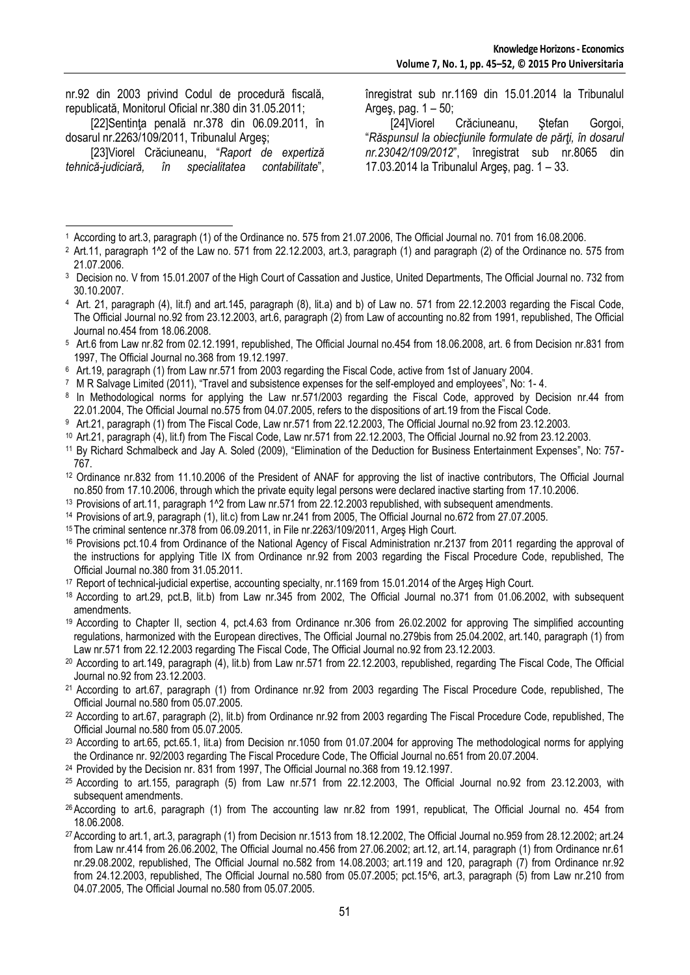|                                                       |  |  |  |  |  |  | nr.92 din 2003 privind Codul de procedură fiscală, |  |  |
|-------------------------------------------------------|--|--|--|--|--|--|----------------------------------------------------|--|--|
| republicată, Monitorul Oficial nr.380 din 31.05.2011: |  |  |  |  |  |  |                                                    |  |  |
|                                                       |  |  |  |  |  |  | [22] Sentinta penală nr. 378 din 06.09.2011, în    |  |  |

dosarul nr.2263/109/2011, Tribunalul Argeş;

 [23]Viorel Crăciuneanu, "*Raport de expertiză tehnică-judiciară, în specialitatea contabilitate*",

înregistrat sub nr.1169 din 15.01.2014 la Tribunalul Arges, pag.  $1 - 50$ ;

[24] Viorel Crăciuneanu, Stefan Gorgoi, "*Răspunsul la obiecţiunile formulate de părţi, în dosarul nr.23042/109/2012*", înregistrat sub nr.8065 din 17.03.2014 la Tribunalul Argeş, pag. 1 – 33.

- <sup>2</sup> Art.11, paragraph 1<sup>^</sup>2 of the Law no. 571 from 22.12.2003, art.3, paragraph (1) and paragraph (2) of the Ordinance no. 575 from 21.07.2006.
- <sup>3</sup> Decision no. V from 15.01.2007 of the High Court of Cassation and Justice, United Departments, The Official Journal no. 732 from 30.10.2007.
- <sup>4</sup> Art. 21, paragraph (4), lit.f) and art.145, paragraph (8), lit.a) and b) of Law no. 571 from 22.12.2003 regarding the Fiscal Code, The Official Journal no.92 from 23.12.2003, art.6, paragraph (2) from Law of accounting no.82 from 1991, republished, The Official Journal no.454 from 18.06.2008.
- <sup>5</sup> Art.6 from Law nr.82 from 02.12.1991, republished, The Official Journal no.454 from 18.06.2008, art. 6 from Decision nr.831 from 1997, The Official Journal no.368 from 19.12.1997.
- <sup>6</sup> Art.19, paragraph (1) from Law nr.571 from 2003 regarding the Fiscal Code, active from 1st of January 2004.
- <sup>7</sup> M R Salvage Limited (2011), "Travel and subsistence expenses for the self-employed and employees", No: 1- 4.
- 8 In Methodological norms for applying the Law nr.571/2003 regarding the Fiscal Code, approved by Decision nr.44 from 22.01.2004, The Official Journal no.575 from 04.07.2005, refers to the dispositions of art.19 from the Fiscal Code.
- <sup>9</sup> Art.21, paragraph (1) from The Fiscal Code, Law nr.571 from 22.12.2003, The Official Journal no.92 from 23.12.2003.
- <sup>10</sup> Art.21, paragraph (4), lit.f) from The Fiscal Code, Law nr.571 from 22.12.2003, The Official Journal no.92 from 23.12.2003.
- <sup>11</sup> By Richard Schmalbeck and Jay A. Soled (2009), "Elimination of the Deduction for Business Entertainment Expenses", No: 757- 767.
- <sup>12</sup> Ordinance nr.832 from 11.10.2006 of the President of ANAF for approving the list of inactive contributors, The Official Journal no.850 from 17.10.2006, through which the private equity legal persons were declared inactive starting from 17.10.2006.
- <sup>13</sup> Provisions of art.11, paragraph 1^2 from Law nr.571 from 22.12.2003 republished, with subsequent amendments.
- <sup>14</sup> Provisions of art.9, paragraph (1), lit.c) from Law nr.241 from 2005, The Official Journal no.672 from 27.07.2005.
- <sup>15</sup>The criminal sentence nr.378 from 06.09.2011, in File nr.2263/109/2011, Argeş High Court.
- <sup>16</sup> Provisions pct.10.4 from Ordinance of the National Agency of Fiscal Administration nr.2137 from 2011 regarding the approval of the instructions for applying Title IX from Ordinance nr.92 from 2003 regarding the Fiscal Procedure Code, republished, The Official Journal no.380 from 31.05.2011.
- <sup>17</sup> Report of technical-judicial expertise, accounting specialty, nr.1169 from 15.01.2014 of the Argeş High Court.
- <sup>18</sup> According to art.29, pct.B, lit.b) from Law nr.345 from 2002, The Official Journal no.371 from 01.06.2002, with subsequent amendments.
- <sup>19</sup> According to Chapter II, section 4, pct.4.63 from Ordinance nr.306 from 26.02.2002 for approving The simplified accounting regulations, harmonized with the European directives, The Official Journal no.279bis from 25.04.2002, art.140, paragraph (1) from Law nr.571 from 22.12.2003 regarding The Fiscal Code, The Official Journal no.92 from 23.12.2003.
- <sup>20</sup> According to art.149, paragraph (4), lit.b) from Law nr.571 from 22.12.2003, republished, regarding The Fiscal Code, The Official Journal no.92 from 23.12.2003.
- <sup>21</sup> According to art.67, paragraph (1) from Ordinance nr.92 from 2003 regarding The Fiscal Procedure Code, republished, The Official Journal no.580 from 05.07.2005.
- <sup>22</sup> According to art.67, paragraph (2), lit.b) from Ordinance nr.92 from 2003 regarding The Fiscal Procedure Code, republished, The Official Journal no.580 from 05.07.2005.
- <sup>23</sup> According to art.65, pct.65.1, lit.a) from Decision nr.1050 from 01.07.2004 for approving The methodological norms for applying the Ordinance nr. 92/2003 regarding The Fiscal Procedure Code, The Official Journal no.651 from 20.07.2004.
- <sup>24</sup> Provided by the Decision nr. 831 from 1997, The Official Journal no.368 from 19.12.1997.
- <sup>25</sup> According to art.155, paragraph (5) from Law nr.571 from 22.12.2003, The Official Journal no.92 from 23.12.2003, with subsequent amendments.
- <sup>26</sup>According to art.6, paragraph (1) from The accounting law nr.82 from 1991, republicat, The Official Journal no. 454 from 18.06.2008.
- <sup>27</sup>According to art.1, art.3, paragraph (1) from Decision nr.1513 from 18.12.2002, The Official Journal no.959 from 28.12.2002; art.24 from Law nr.414 from 26.06.2002, The Official Journal no.456 from 27.06.2002; art.12, art.14, paragraph (1) from Ordinance nr.61 nr.29.08.2002, republished, The Official Journal no.582 from 14.08.2003; art.119 and 120, paragraph (7) from Ordinance nr.92 from 24.12.2003, republished, The Official Journal no.580 from 05.07.2005; pct.15^6, art.3, paragraph (5) from Law nr.210 from 04.07.2005, The Official Journal no.580 from 05.07.2005.

<sup>-</sup><sup>1</sup> According to art.3, paragraph (1) of the Ordinance no. 575 from 21.07.2006, The Official Journal no. 701 from 16.08.2006.